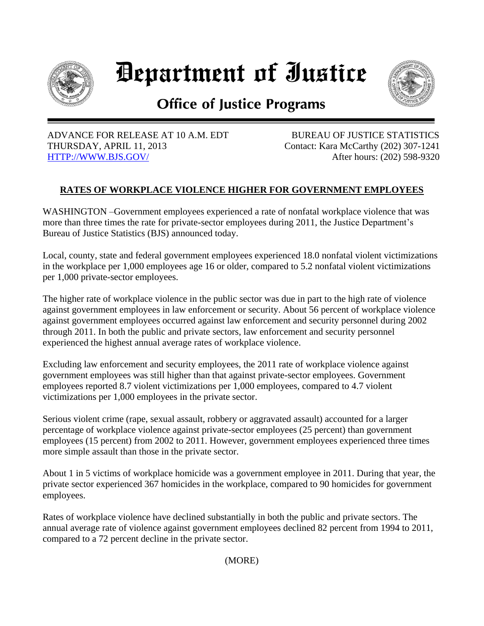

Department of Iustice



## **Office of Justice Programs**

 ADVANCE FOR RELEASE AT 10 A.M. EDT THURSDAY, APRIL 11, 2013 [HTTP://WWW.BJS.GOV/](http://www.bjs.gov/) 

 BUREAU OF JUSTICE STATISTICS Contact: Kara McCarthy (202) 307-1241 After hours: (202) 598-9320

## **RATES OF WORKPLACE VIOLENCE HIGHER FOR GOVERNMENT EMPLOYEES**

WASHINGTON –Government employees experienced a rate of nonfatal workplace violence that was more than three times the rate for private-sector employees during 2011, the Justice Department's Bureau of Justice Statistics (BJS) announced today.

Local, county, state and federal government employees experienced 18.0 nonfatal violent victimizations in the workplace per 1,000 employees age 16 or older, compared to 5.2 nonfatal violent victimizations per 1,000 private-sector employees.

The higher rate of workplace violence in the public sector was due in part to the high rate of violence against government employees in law enforcement or security. About 56 percent of workplace violence against government employees occurred against law enforcement and security personnel during 2002 through 2011. In both the public and private sectors, law enforcement and security personnel experienced the highest annual average rates of workplace violence.

Excluding law enforcement and security employees, the 2011 rate of workplace violence against government employees was still higher than that against private-sector employees. Government employees reported 8.7 violent victimizations per 1,000 employees, compared to 4.7 violent victimizations per 1,000 employees in the private sector.

Serious violent crime (rape, sexual assault, robbery or aggravated assault) accounted for a larger percentage of workplace violence against private-sector employees (25 percent) than government employees (15 percent) from 2002 to 2011. However, government employees experienced three times more simple assault than those in the private sector.

About 1 in 5 victims of workplace homicide was a government employee in 2011. During that year, the private sector experienced 367 homicides in the workplace, compared to 90 homicides for government employees.

Rates of workplace violence have declined substantially in both the public and private sectors. The annual average rate of violence against government employees declined 82 percent from 1994 to 2011, compared to a 72 percent decline in the private sector.

(MORE)